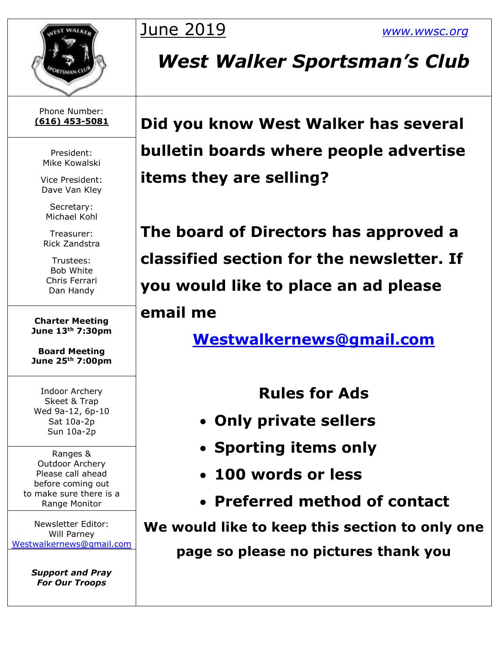

## Phone Number:

President: Mike Kowalski

Vice President: Dave Van Kley

Secretary: Michael Kohl

Treasurer: Rick Zandstra

Trustees: Bob White Chris Ferrari Dan Handy

**Charter Meeting June 13th 7:30pm**

**Board Meeting June 25th 7:00pm**

Indoor Archery Skeet & Trap Wed 9a-12, 6p-10 Sat 10a-2p Sun 10a-2p

Ranges & Outdoor Archery Please call ahead before coming out to make sure there is a Range Monitor

Newsletter Editor: Will Parney [Westwalkernews@gmail.com](mailto:Westwalkernews@gmail.com)

> *Support and Pray For Our Troops*

## June 2019 *[www.wwsc.org](http://www.wwsc.org/)*

## *West Walker Sportsman's Club*

**(616) 453-5081 Did you know West Walker has several bulletin boards where people advertise items they are selling?**

> **The board of Directors has approved a classified section for the newsletter. If you would like to place an ad please**

### **email me**

**[Westwalkernews@gmail.com](mailto:Westwalkernews@gmail.com)**

**Rules for Ads** 

- **Only private sellers**
- **Sporting items only**
- **100 words or less**
- **Preferred method of contact**

**We would like to keep this section to only one page so please no pictures thank you**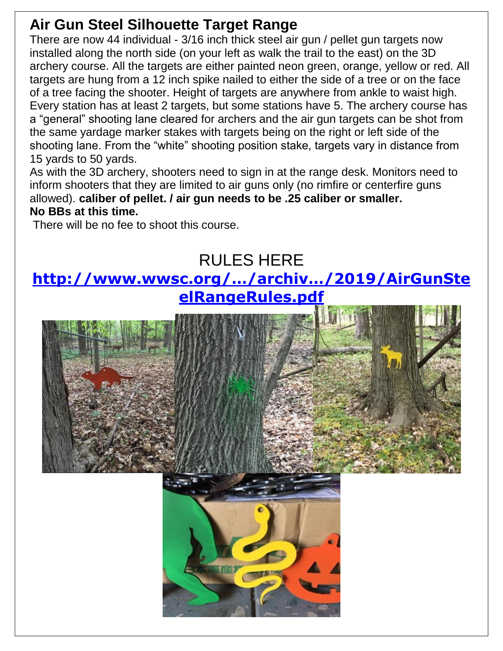## **Air Gun Steel Silhouette Target Range**

There are now 44 individual - 3/16 inch thick steel air gun / pellet gun targets now installed along the north side (on your left as walk the trail to the east) on the 3D archery course. All the targets are either painted neon green, orange, yellow or red. All targets are hung from a 12 inch spike nailed to either the side of a tree or on the face of a tree facing the shooter. Height of targets are anywhere from ankle to waist high. Every station has at least 2 targets, but some stations have 5. The archery course has a "general" shooting lane cleared for archers and the air gun targets can be shot from the same yardage marker stakes with targets being on the right or left side of the shooting lane. From the "white" shooting position stake, targets vary in distance from 15 yards to 50 yards.

As with the 3D archery, shooters need to sign in at the range desk. Monitors need to inform shooters that they are limited to air guns only (no rimfire or centerfire guns allowed). **caliber of pellet. / air gun needs to be .25 caliber or smaller. No BBs at this time.**

There will be no fee to shoot this course.

## RULES HERE **[http://www.wwsc.org/…/archiv…/2019/AirGunSte](http://www.wwsc.org/…/archiv…/2019/AirGunSteelRangeRules.pdf) [elRangeRules.pdf](http://www.wwsc.org/…/archiv…/2019/AirGunSteelRangeRules.pdf)**

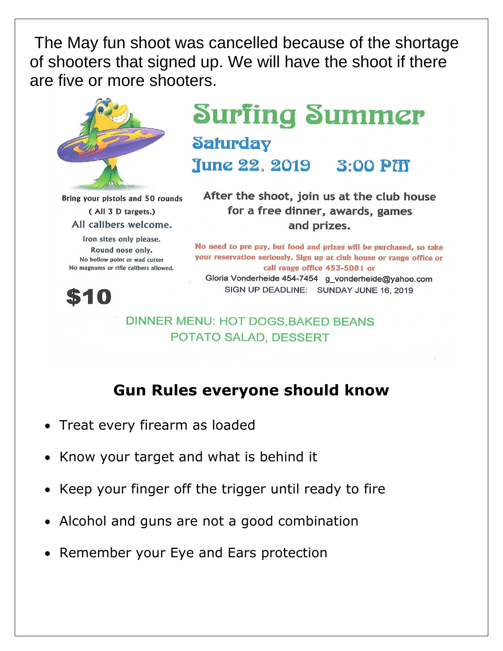The May fun shoot was cancelled because of the shortage of shooters that signed up. We will have the shoot if there are five or more shooters.



Bring your pistols and 50 rounds (All 3 D targets.) All calibers welcome.

Iron sites only please. Round nose only. No hollow point or wad cutter No magnums or rifle calibers allowed.

## **Surfing Summer Saturday**

June 22, 2019 3:00 PT

After the shoot, join us at the club house for a free dinner, awards, games and prizes.

No need to pre pay, but food and prizes will be purchased, so take your reservation seriously. Sign up at club house or range office or call range office 453-5081 or Gloria Vonderheide 454-7454 g\_vonderheide@yahoo.com SIGN UP DEADLINE: SUNDAY JUNE 16, 2019



#### **DINNER MENU: HOT DOGS.BAKED BEANS** POTATO SALAD, DESSERT

### **Gun Rules everyone should know**

- Treat every firearm as loaded
- Know your target and what is behind it
- Keep your finger off the trigger until ready to fire
- Alcohol and guns are not a good combination
- Remember your Eye and Ears protection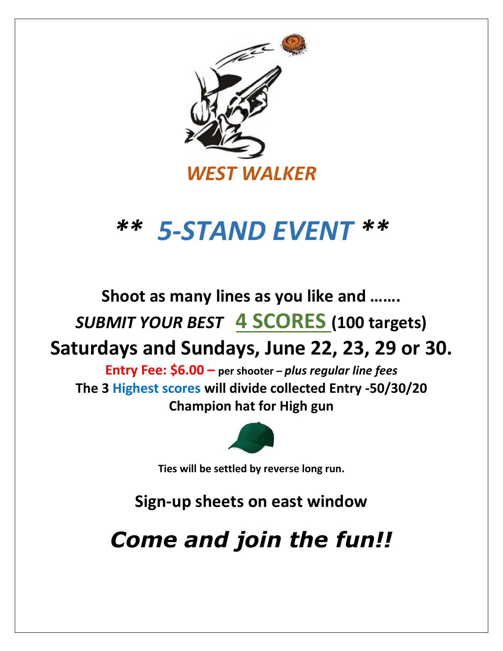

# *\*\* 5-STAND EVENT \*\**

**Shoot as many lines as you like and …….**

*SUBMIT YOUR BEST* **4 SCORES (100 targets)**

**Saturdays and Sundays, June 22, 23, 29 or 30.**

**Entry Fee: \$6.00 – per shooter –** *plus regular line fees* **The 3 Highest scores will divide collected Entry -50/30/20 Champion hat for High gun**



**Ties will be settled by reverse long run.**

**Sign-up sheets on east window**

*Come and join the fun!!*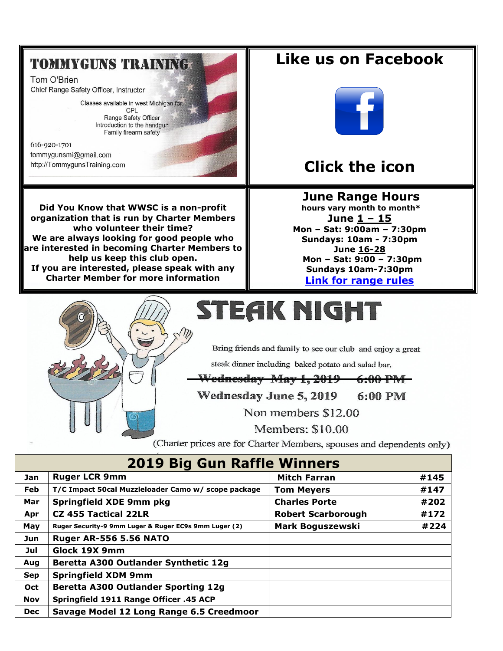### **TOMMYGUNS TRAINING**

Tom O'Brien Chief Range Safety Officer, Instructor

> Classes available in west Michigan for: CPL Range Safety Officer Introduction to the handgun Family firearm safety

616-920-1701 tommygunsmi@gmail.com http://TommygunsTraining.com





Like us on Facebook



### **Click the icon**

**June Range Hours** hours vary month to month\* June  $1 - 15$ Mon - Sat: 9:00am - 7:30pm **Sundays: 10am - 7:30pm** June 16-28 Mon - Sat: 9:00 - 7:30pm Sundays 10am-7:30pm **Link for range rules** 



# STEAK NIGHT

Bring friends and family to see our club and enjoy a great

steak dinner including baked potato and salad bar.

Wednesday May 1, 2019  $6:00$  PM

Wednesday June 5, 2019 6:00 PM

Non members \$12.00

Members: \$10.00

(Charter prices are for Charter Members, spouses and dependents only)

| <b>2019 Big Gun Raffle Winners</b> |                                                       |                           |      |  |  |  |  |
|------------------------------------|-------------------------------------------------------|---------------------------|------|--|--|--|--|
| Jan                                | <b>Ruger LCR 9mm</b>                                  | <b>Mitch Farran</b>       | #145 |  |  |  |  |
| Feb                                | T/C Impact 50cal Muzzleloader Camo w/ scope package   | <b>Tom Meyers</b>         | #147 |  |  |  |  |
| Mar                                | <b>Springfield XDE 9mm pkg</b>                        | <b>Charles Porte</b>      | #202 |  |  |  |  |
| Apr                                | <b>CZ 455 Tactical 22LR</b>                           | <b>Robert Scarborough</b> | #172 |  |  |  |  |
| May                                | Ruger Security-9 9mm Luger & Ruger EC9s 9mm Luger (2) | <b>Mark Boguszewski</b>   | #224 |  |  |  |  |
| Jun                                | <b>Ruger AR-556 5.56 NATO</b>                         |                           |      |  |  |  |  |
| Jul                                | Glock 19X 9mm                                         |                           |      |  |  |  |  |
| Aug                                | Beretta A300 Outlander Synthetic 12g                  |                           |      |  |  |  |  |
| <b>Sep</b>                         | <b>Springfield XDM 9mm</b>                            |                           |      |  |  |  |  |
| Oct                                | <b>Beretta A300 Outlander Sporting 12g</b>            |                           |      |  |  |  |  |
| <b>Nov</b>                         | Springfield 1911 Range Officer .45 ACP                |                           |      |  |  |  |  |
| <b>Dec</b>                         | Savage Model 12 Long Range 6.5 Creedmoor              |                           |      |  |  |  |  |